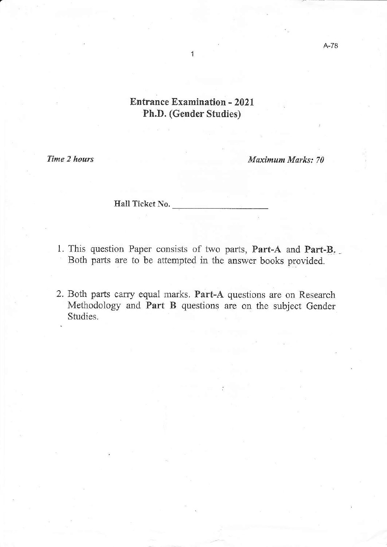## Entrance Examination - 2021 Ph.D. (Gender Studies)

Time 2 hours Maximum Marks: 70

Hall Ticket No.

- l. This question Paper consists of two parts, Part-A and Part-B. Both parts are to be attempfed in the answer books provided.
- 2. Both parts carry equal marks. Part-A questions are on Research Methodology and Part B questions are on the subject Gender Studies.